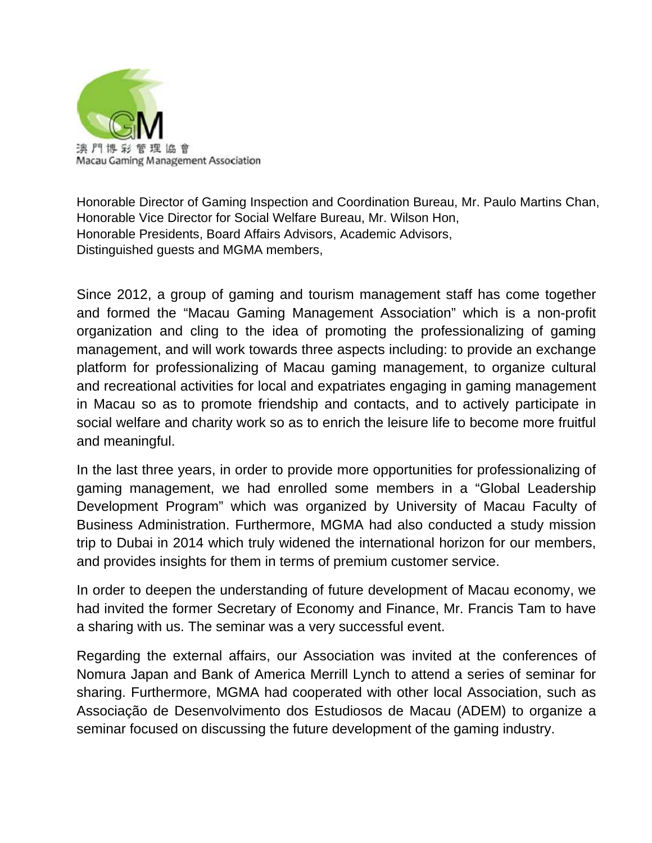

Honorable Director of Gaming Inspection and Coordination Bureau, Mr. Paulo Martins Chan, Honorable Vice Director for Social Welfare Bureau, Mr. Wilson Hon, Honorable Presidents, Board Affairs Advisors, Academic Advisors, Distinguished guests and MGMA members,

Since 2012, a group of gaming and tourism management staff has come together and formed the "Macau Gaming Management Association" which is a non-profit organization and cling to the idea of promoting the professionalizing of gaming management, and will work towards three aspects including: to provide an exchange platform for professionalizing of Macau gaming management, to organize cultural and recreational activities for local and expatriates engaging in gaming management in Macau so as to promote friendship and contacts, and to actively participate in social welfare and charity work so as to enrich the leisure life to become more fruitful and meaningful.

In the last three years, in order to provide more opportunities for professionalizing of gaming management, we had enrolled some members in a "Global Leadership Development Program" which was organized by University of Macau Faculty of Business Administration. Furthermore, MGMA had also conducted a study mission trip to Dubai in 2014 which truly widened the international horizon for our members, and provides insights for them in terms of premium customer service.

In order to deepen the understanding of future development of Macau economy, we had invited the former Secretary of Economy and Finance, Mr. Francis Tam to have a sharing with us. The seminar was a very successful event.

Regarding the external affairs, our Association was invited at the conferences of Nomura Japan and Bank of America Merrill Lynch to attend a series of seminar for sharing. Furthermore, MGMA had cooperated with other local Association, such as Associação de Desenvolvimento dos Estudiosos de Macau (ADEM) to organize a seminar focused on discussing the future development of the gaming industry.